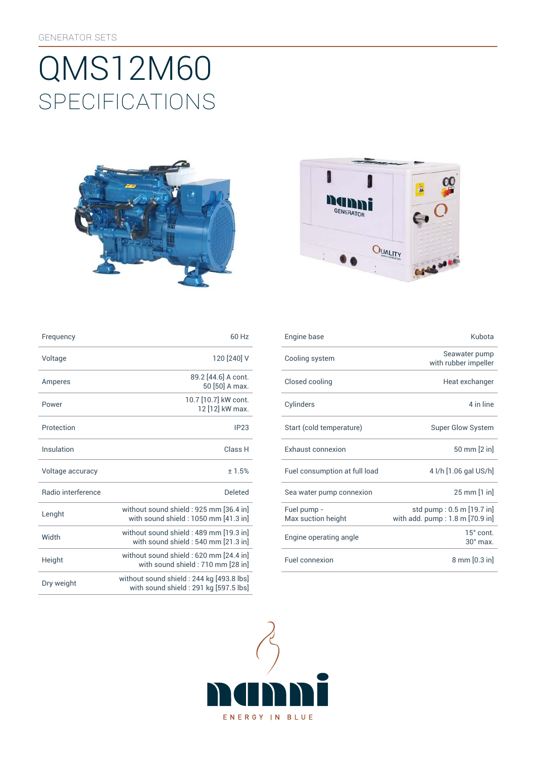# SpEcificATiONS QMS12M60





| Frequency          | 60 Hz                                                                          | Engine base                       | Kubota                                                       |
|--------------------|--------------------------------------------------------------------------------|-----------------------------------|--------------------------------------------------------------|
| Voltage            | 120 [240] V                                                                    | Cooling system                    | Seawater pump<br>with rubber impeller                        |
| Amperes            | 89.2 [44.6] A cont.<br>50 [50] A max.                                          | Closed cooling                    | Heat exchanger                                               |
| Power              | 10.7 [10.7] kW cont.<br>12 [12] kW max.                                        | Cylinders                         | 4 in line                                                    |
| Protection         | IP <sub>23</sub>                                                               | Start (cold temperature)          | <b>Super Glow System</b>                                     |
| Insulation         | Class H                                                                        | <b>Exhaust connexion</b>          | 50 mm [2 in]                                                 |
| Voltage accuracy   | ±1.5%                                                                          | Fuel consumption at full load     | 4 l/h [1.06 gal US/h]                                        |
| Radio interference | Deleted                                                                        | Sea water pump connexion          | 25 mm [1 in]                                                 |
| Lenght             | without sound shield: 925 mm [36.4 in]<br>with sound shield: 1050 mm [41.3 in] | Fuel pump -<br>Max suction height | std pump: 0.5 m [19.7 in]<br>with add. pump: 1.8 m [70.9 in] |
| Width              | without sound shield: 489 mm [19.3 in]<br>with sound shield: 540 mm [21.3 in]  | Engine operating angle            | 15° cont.<br>$30^\circ$ max.                                 |
| Height             | without sound shield: 620 mm [24.4 in]<br>with sound shield: 710 mm [28 in]    | Fuel connexion                    | $8 \text{ mm} [0.3 \text{ in}]$                              |
|                    |                                                                                |                                   |                                                              |

| Frequency                 | 60 Hz                                                                             |
|---------------------------|-----------------------------------------------------------------------------------|
| Voltage                   | 120 [240] V                                                                       |
| Amperes                   | 89.2 [44.6] A cont.<br>50 [50] A max.                                             |
| Power                     | 10.7 [10.7] kW cont.<br>12 [12] kW max.                                           |
| Protection                | IP23                                                                              |
| Insulation                | Class <sub>H</sub>                                                                |
| Voltage accuracy          | ±1.5%                                                                             |
| <b>Badio</b> interference | <b>Deleted</b>                                                                    |
| Lenght                    | without sound shield: 925 mm [36.4 in]<br>with sound shield: 1050 mm [41.3 in]    |
| Width                     | without sound shield: 489 mm [19.3 in]<br>with sound shield: 540 mm [21.3 in]     |
| Height                    | without sound shield: 620 mm [24.4 in]<br>with sound shield: 710 mm [28 in]       |
| Dry weight                | without sound shield: 244 kg [493.8 lbs]<br>with sound shield: 291 kg [597.5 lbs] |